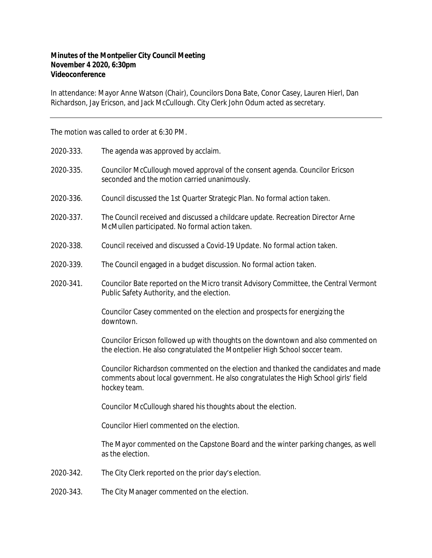## **Minutes of the Montpelier City Council Meeting November 4 2020, 6:30pm Videoconference**

In attendance: Mayor Anne Watson (Chair), Councilors Dona Bate, Conor Casey, Lauren Hierl, Dan Richardson, Jay Ericson, and Jack McCullough. City Clerk John Odum acted as secretary.

The motion was called to order at 6:30 PM.

| 2020-333. | The agenda was approved by acclaim.                                                                                                                                                       |
|-----------|-------------------------------------------------------------------------------------------------------------------------------------------------------------------------------------------|
| 2020-335. | Councilor McCullough moved approval of the consent agenda. Councilor Ericson<br>seconded and the motion carried unanimously.                                                              |
| 2020-336. | Council discussed the 1st Quarter Strategic Plan. No formal action taken.                                                                                                                 |
| 2020-337. | The Council received and discussed a childcare update. Recreation Director Arne<br>McMullen participated. No formal action taken.                                                         |
| 2020-338. | Council received and discussed a Covid-19 Update. No formal action taken.                                                                                                                 |
| 2020-339. | The Council engaged in a budget discussion. No formal action taken.                                                                                                                       |
| 2020-341. | Councilor Bate reported on the Micro transit Advisory Committee, the Central Vermont<br>Public Safety Authority, and the election.                                                        |
|           | Councilor Casey commented on the election and prospects for energizing the<br>downtown.                                                                                                   |
|           | Councilor Ericson followed up with thoughts on the downtown and also commented on<br>the election. He also congratulated the Montpelier High School soccer team.                          |
|           | Councilor Richardson commented on the election and thanked the candidates and made<br>comments about local government. He also congratulates the High School girls' field<br>hockey team. |
|           | Councilor McCullough shared his thoughts about the election.                                                                                                                              |
|           | Councilor Hierl commented on the election.                                                                                                                                                |
|           | The Mayor commented on the Capstone Board and the winter parking changes, as well<br>as the election.                                                                                     |
| 2020-342. | The City Clerk reported on the prior day's election.                                                                                                                                      |
| 2020-343. | The City Manager commented on the election.                                                                                                                                               |